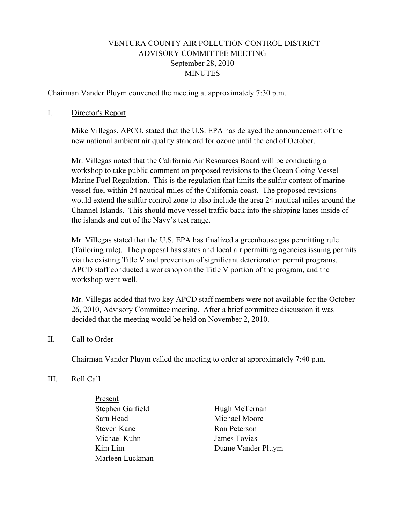# VENTURA COUNTY AIR POLLUTION CONTROL DISTRICT ADVISORY COMMITTEE MEETING September 28, 2010 **MINUTES**

Chairman Vander Pluym convened the meeting at approximately 7:30 p.m.

#### I. Director's Report

Mike Villegas, APCO, stated that the U.S. EPA has delayed the announcement of the new national ambient air quality standard for ozone until the end of October.

Mr. Villegas noted that the California Air Resources Board will be conducting a workshop to take public comment on proposed revisions to the Ocean Going Vessel Marine Fuel Regulation. This is the regulation that limits the sulfur content of marine vessel fuel within 24 nautical miles of the California coast. The proposed revisions would extend the sulfur control zone to also include the area 24 nautical miles around the Channel Islands. This should move vessel traffic back into the shipping lanes inside of the islands and out of the Navy's test range.

Mr. Villegas stated that the U.S. EPA has finalized a greenhouse gas permitting rule (Tailoring rule). The proposal has states and local air permitting agencies issuing permits via the existing Title V and prevention of significant deterioration permit programs. APCD staff conducted a workshop on the Title V portion of the program, and the workshop went well.

Mr. Villegas added that two key APCD staff members were not available for the October 26, 2010, Advisory Committee meeting. After a brief committee discussion it was decided that the meeting would be held on November 2, 2010.

## II. Call to Order

Chairman Vander Pluym called the meeting to order at approximately 7:40 p.m.

#### III. Roll Call

 Present Stephen Garfield Hugh McTernan Sara Head Michael Moore Steven Kane Ron Peterson Michael Kuhn James Tovias Marleen Luckman

Kim Lim Duane Vander Pluym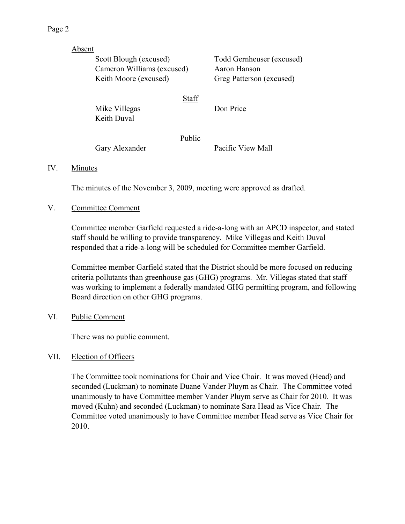| Absent |                                                     |        |                           |
|--------|-----------------------------------------------------|--------|---------------------------|
|        | Scott Blough (excused)                              |        | Todd Gernheuser (excused) |
|        | Cameron Williams (excused)<br>Keith Moore (excused) |        | Aaron Hanson              |
|        |                                                     |        | Greg Patterson (excused)  |
|        | Mike Villegas                                       | Staff  | Don Price                 |
|        | Keith Duval                                         |        |                           |
|        |                                                     | Public |                           |
|        | Gary Alexander                                      |        | Pacific View Mall         |

## IV. Minutes

The minutes of the November 3, 2009, meeting were approved as drafted.

## V. Committee Comment

Committee member Garfield requested a ride-a-long with an APCD inspector, and stated staff should be willing to provide transparency. Mike Villegas and Keith Duval responded that a ride-a-long will be scheduled for Committee member Garfield.

Committee member Garfield stated that the District should be more focused on reducing criteria pollutants than greenhouse gas (GHG) programs. Mr. Villegas stated that staff was working to implement a federally mandated GHG permitting program, and following Board direction on other GHG programs.

## VI. Public Comment

There was no public comment.

## VII. Election of Officers

 The Committee took nominations for Chair and Vice Chair. It was moved (Head) and seconded (Luckman) to nominate Duane Vander Pluym as Chair. The Committee voted unanimously to have Committee member Vander Pluym serve as Chair for 2010. It was moved (Kuhn) and seconded (Luckman) to nominate Sara Head as Vice Chair. The Committee voted unanimously to have Committee member Head serve as Vice Chair for 2010.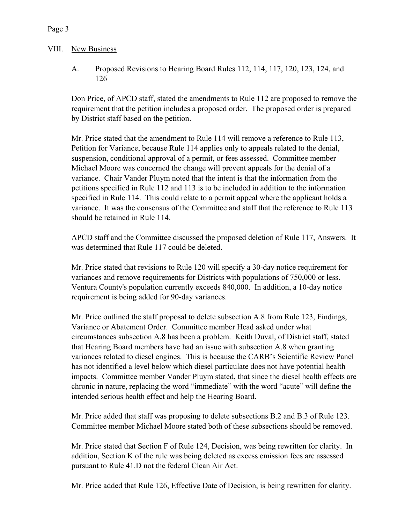## VIII. New Business

A. Proposed Revisions to Hearing Board Rules 112, 114, 117, 120, 123, 124, and 126

Don Price, of APCD staff, stated the amendments to Rule 112 are proposed to remove the requirement that the petition includes a proposed order. The proposed order is prepared by District staff based on the petition.

Mr. Price stated that the amendment to Rule 114 will remove a reference to Rule 113, Petition for Variance, because Rule 114 applies only to appeals related to the denial, suspension, conditional approval of a permit, or fees assessed. Committee member Michael Moore was concerned the change will prevent appeals for the denial of a variance. Chair Vander Pluym noted that the intent is that the information from the petitions specified in Rule 112 and 113 is to be included in addition to the information specified in Rule 114. This could relate to a permit appeal where the applicant holds a variance. It was the consensus of the Committee and staff that the reference to Rule 113 should be retained in Rule 114.

APCD staff and the Committee discussed the proposed deletion of Rule 117, Answers. It was determined that Rule 117 could be deleted.

Mr. Price stated that revisions to Rule 120 will specify a 30-day notice requirement for variances and remove requirements for Districts with populations of 750,000 or less. Ventura County's population currently exceeds 840,000. In addition, a 10-day notice requirement is being added for 90-day variances.

Mr. Price outlined the staff proposal to delete subsection A.8 from Rule 123, Findings, Variance or Abatement Order. Committee member Head asked under what circumstances subsection A.8 has been a problem. Keith Duval, of District staff, stated that Hearing Board members have had an issue with subsection A.8 when granting variances related to diesel engines. This is because the CARB's Scientific Review Panel has not identified a level below which diesel particulate does not have potential health impacts. Committee member Vander Pluym stated, that since the diesel health effects are chronic in nature, replacing the word "immediate" with the word "acute" will define the intended serious health effect and help the Hearing Board.

Mr. Price added that staff was proposing to delete subsections B.2 and B.3 of Rule 123. Committee member Michael Moore stated both of these subsections should be removed.

Mr. Price stated that Section F of Rule 124, Decision, was being rewritten for clarity. In addition, Section K of the rule was being deleted as excess emission fees are assessed pursuant to Rule 41.D not the federal Clean Air Act.

Mr. Price added that Rule 126, Effective Date of Decision, is being rewritten for clarity.